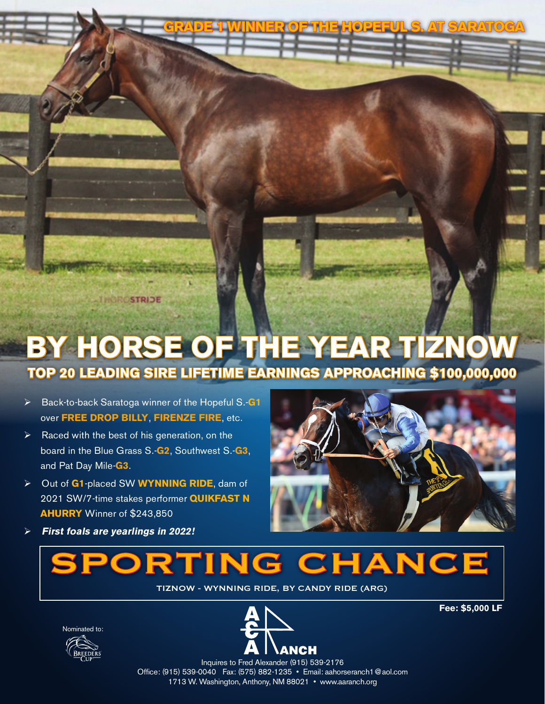# **BY HORSE OF THE YEAR TIZNOW**

## **TOP 20 LEADING SIRE LIFETIME EARNINGS APPROACHING \$100,000,000**

 Back-to-back Saratoga winner of the Hopeful S.-**G1** over **FREE DROP BILLY**, **FIRENZE FIRE**, etc.

ROSTRIDE

- $\triangleright$  Raced with the best of his generation, on the board in the Blue Grass S.-**G2**, Southwest S.-**G3**, and Pat Day Mile-**G3**.
- Out of **G1**-placed SW **WYNNING RIDE**, dam of 2021 SW/7-time stakes performer **QUIKFAST N AHURRY** Winner of \$243,850
- 

**GRADE 1 WINNER OF THE HOPEFUL S. AT SARATOGA**

**First foals are yearlings in 2022!**

# SPORTING CHANCE

TIZNOW - WYNNING RIDE, BY CANDY RIDE (ARG)





**Fee: \$5,000 LF**

Inquires to Fred Alexander (915) 539-2176 Office: (915) 539-0040 Fax: (575) 882-1235 • Email: aahorseranch1@aol.com 1713 W. Washington, Anthony, NM 88021 • www.aaranch.org